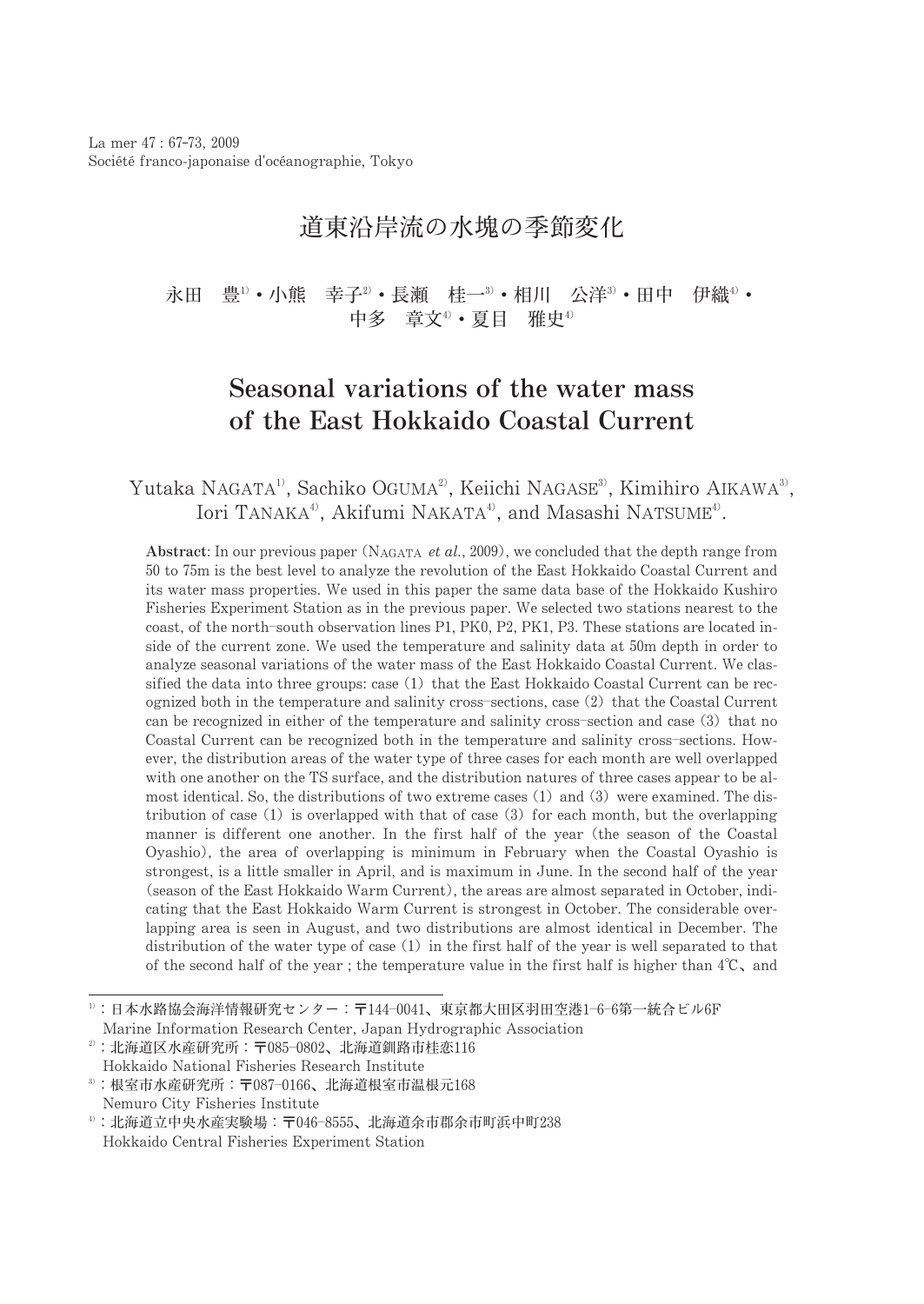# 道東沿岸流の水塊の季節変化

永田 豊1) • 小熊 幸子2) • 長瀬 桂一3) • 相川 公洋3) • 田中 伊織4) • 中多 章文4) • 夏目 雅中4)

# Seasonal variations of the water mass of the East Hokkaido Coastal Current

## Yutaka NAGATA<sup>1</sup>, Sachiko OGUMA<sup>2</sup>, Keiichi NAGASE<sup>3</sup>, Kimihiro AIKAWA<sup>3</sup>, Iori TANAKA<sup>4</sup>, Akifumi NAKATA<sup>4</sup>, and Masashi NATSUME<sup>4</sup>.

Abstract: In our previous paper (NAGATA et al., 2009), we concluded that the depth range from 50 to 75m is the best level to analyze the revolution of the East Hokkaido Coastal Current and its water mass properties. We used in this paper the same data base of the Hokkaido Kushiro Fisheries Experiment Station as in the previous paper. We selected two stations nearest to the coast, of the north-south observation lines P1, PK0, P2, PK1, P3. These stations are located inside of the current zone. We used the temperature and salinity data at 50m depth in order to analyze seasonal variations of the water mass of the East Hokkaido Coastal Current. We classified the data into three groups: case (1) that the East Hokkaido Coastal Current can be recognized both in the temperature and salinity cross-sections, case (2) that the Coastal Current can be recognized in either of the temperature and salinity cross-section and case (3) that no Coastal Current can be recognized both in the temperature and salinity cross-sections. However, the distribution areas of the water type of three cases for each month are well overlapped with one another on the TS surface, and the distribution natures of three cases appear to be almost identical. So, the distributions of two extreme cases (1) and (3) were examined. The distribution of case  $(1)$  is overlapped with that of case  $(3)$  for each month, but the overlapping manner is different one another. In the first half of the year (the season of the Coastal Oyashio), the area of overlapping is minimum in February when the Coastal Oyashio is strongest, is a little smaller in April, and is maximum in June. In the second half of the year (season of the East Hokkaido Warm Current), the areas are almost separated in October, indicating that the East Hokkaido Warm Current is strongest in October. The considerable overlapping area is seen in August, and two distributions are almost identical in December. The distribution of the water type of case (1) in the first half of the year is well separated to that of the second half of the year; the temperature value in the first half is higher than  $4^{\circ}\text{C}$ , and

 $3$ : 根室市水産研究所: 〒087-0166、北海道根室市温根元168 Nemuro City Fisheries Institute

<sup>1):</sup> 日本水路協会海洋情報研究センター: 〒144-0041、東京都大田区羽田空港1-6-6第一統合ビル6F

Marine Information Research Center, Japan Hydrographic Association

 $2)$ : 北海道区水産研究所: 〒085-0802、北海道釧路市桂恋116 Hokkaido National Fisheries Research Institute

<sup>4:</sup> 北海道立中央水産実験場: 〒046-8555、北海道余市郡余市町浜中町238 Hokkaido Central Fisheries Experiment Station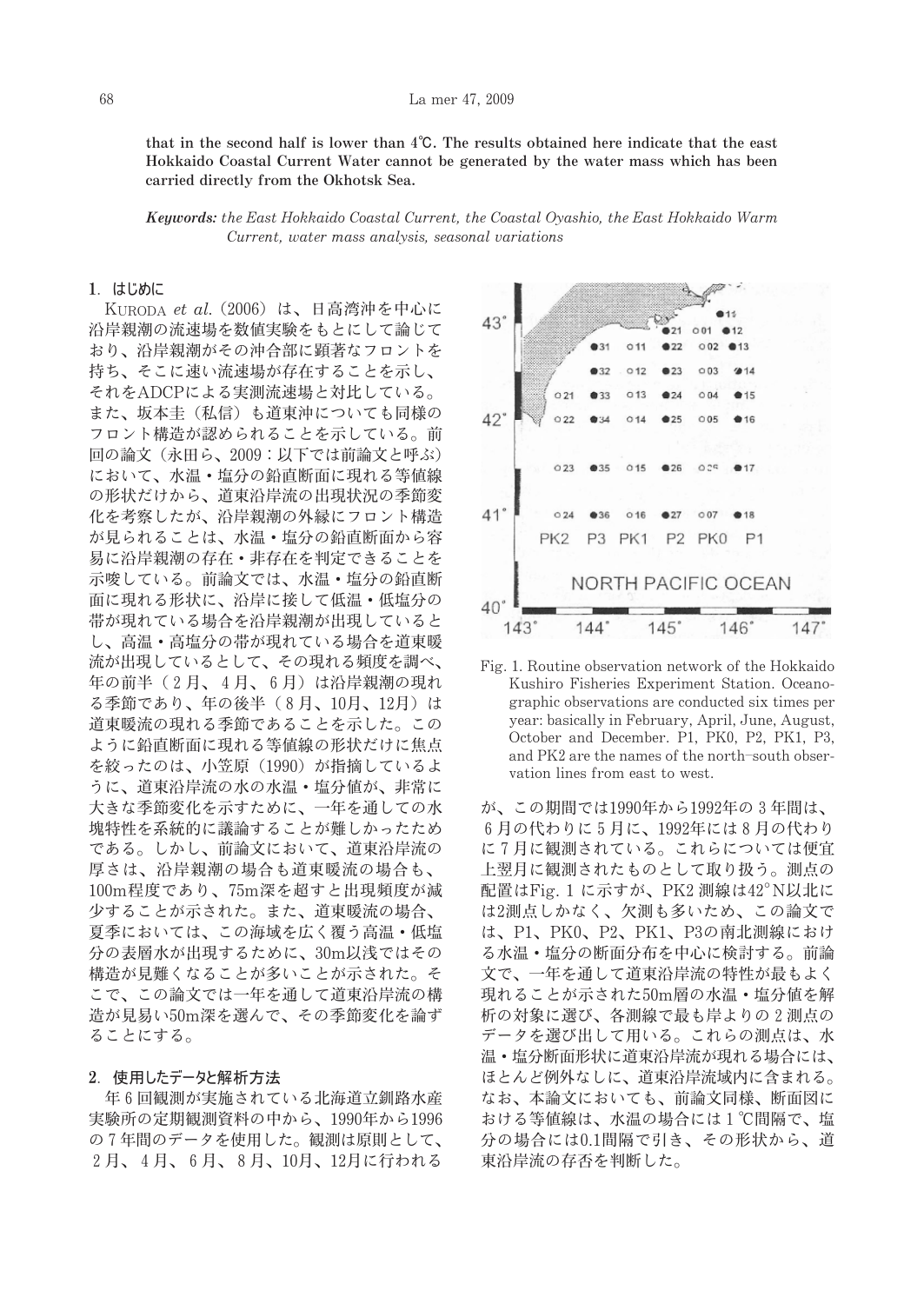that in the second half is lower than  $4^{\circ}C$ . The results obtained here indicate that the east Hokkaido Coastal Current Water cannot be generated by the water mass which has been carried directly from the Okhotsk Sea.

Keywords: the East Hokkaido Coastal Current, the Coastal Oyashio, the East Hokkaido Warm Current, water mass analysis, seasonal variations

### 1. はじめに

KURODA et al. (2006) は、日高湾沖を中心に 沿岸親潮の流速場を数値実験をもとにして論じて おり、沿岸親潮がその沖合部に顕著なフロントを 持ち、そこに速い流速場が存在することを示し、 それをADCPによる実測流速場と対比している。 また、坂本圭(私信)も道東沖についても同様の フロント構造が認められることを示している。前 回の論文 (永田ら、2009:以下では前論文と呼ぶ) において、水温・塩分の鉛直断面に現れる等値線 の形状だけから、道東沿岸流の出現状況の季節変 化を考察したが、沿岸親潮の外縁にフロント構造 が見られることは、水温・塩分の鉛直断面から容 易に沿岸親潮の存在・非存在を判定できることを 示唆している。前論文では、水温・塩分の鉛直断 面に現れる形状に、沿岸に接して低温・低塩分の 帯が現れている場合を沿岸親潮が出現していると し、高温·高塩分の帯が現れている場合を道東暖 流が出現しているとして、その現れる頻度を調べ、 年の前半(2月、4月、6月)は沿岸親潮の現れ る季節であり、年の後半(8月、10月、12月)は 道東暖流の現れる季節であることを示した。この ように鉛直断面に現れる等値線の形状だけに焦点 を絞ったのは、小笠原 (1990) が指摘しているよ うに、道東沿岸流の水の水温・塩分値が、非常に 大きな季節変化を示すために、一年を通しての水 塊特性を系統的に議論することが難しかったため である。しかし、前論文において、道東沿岸流の 厚さは、沿岸親潮の場合も道東暖流の場合も、 100m程度であり、75m深を超すと出現頻度が減 少することが示された。また、道東暖流の場合、 夏季においては、この海域を広く覆う高温・低塩 分の表層水が出現するために、30m以浅ではその 構造が見難くなることが多いことが示された。そ こで、この論文では一年を通して道東沿岸流の構 造が見易い50m深を選んで、その季節変化を論ず ることにする。

### 2. 使用したデータと解析方法

年6回観測が実施されている北海道立釧路水産 実験所の定期観測資料の中から、1990年から1996 の7年間のデータを使用した。観測は原則として、 2月、4月、6月、8月、10月、12月に行われる



Fig. 1. Routine observation network of the Hokkaido Kushiro Fisheries Experiment Station. Oceanographic observations are conducted six times per year: basically in February, April, June, August, October and December. P1, PK0, P2, PK1, P3, and PK2 are the names of the north-south observation lines from east to west.

が、この期間では1990年から1992年の3年間は、 6月の代わりに5月に、1992年には8月の代わり に7月に観測されている。これらについては便宜 上翌月に観測されたものとして取り扱う。測点の 配置はFig. 1 に示すが、PK2 測線は42°N以北に は2測点しかなく、欠測も多いため、この論文で は、P1、PK0、P2、PK1、P3の南北測線におけ る水温·塩分の断面分布を中心に検討する。前論 文で、一年を通して道東沿岸流の特性が最もよく 現れることが示された50m層の水温・塩分値を解 析の対象に選び、各測線で最も岸よりの2測点の データを選び出して用いる。これらの測点は、水 温·塩分断面形状に道東沿岸流が現れる場合には、 ほとんど例外なしに、道東沿岸流域内に含まれる。 なお、本論文においても、前論文同様、断面図に おける等値線は、水温の場合には1℃間隔で、塩 分の場合には0.1間隔で引き、その形状から、道 東沿岸流の存否を判断した。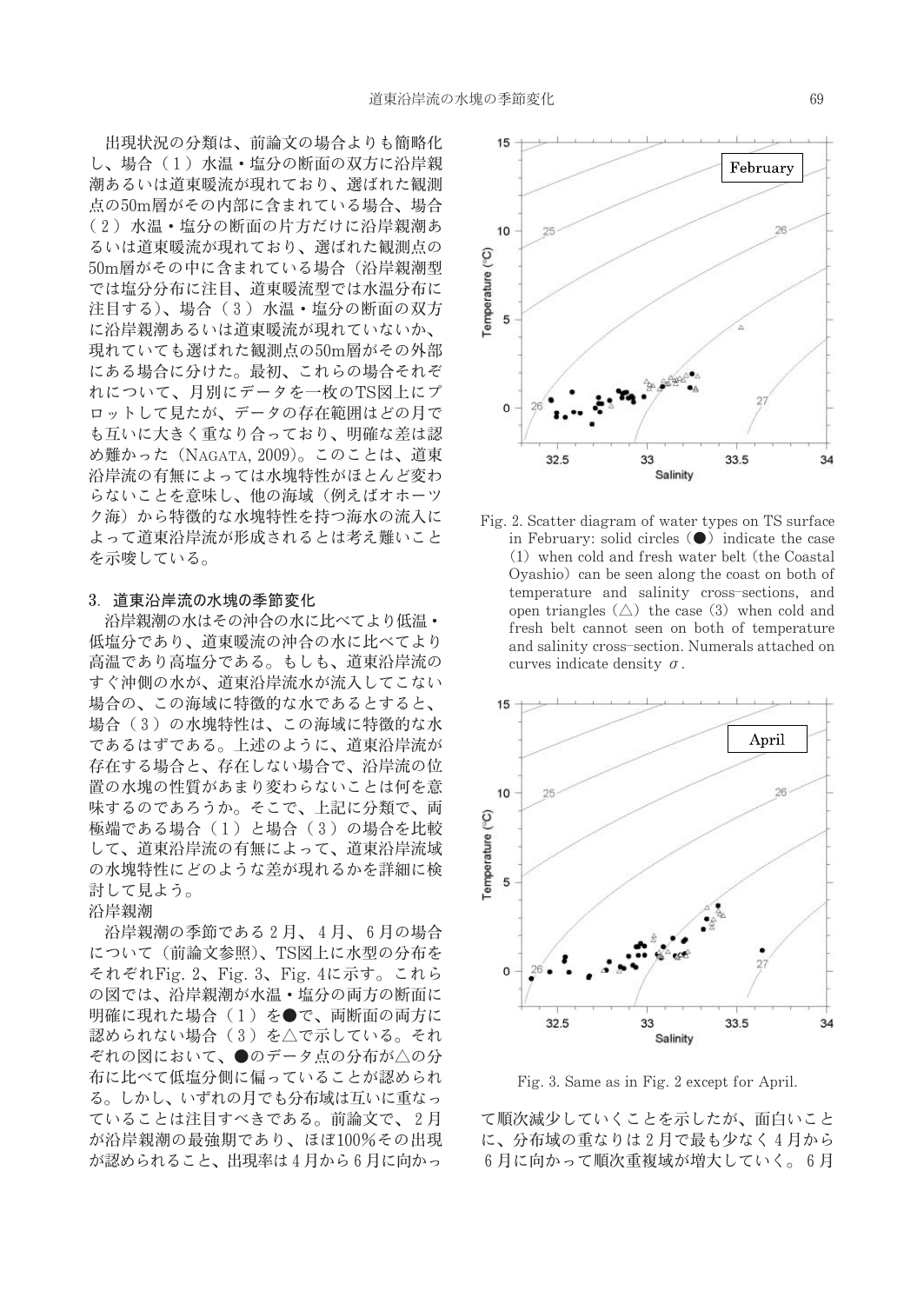出現状況の分類は、前論文の場合よりも簡略化 し、場合(1) 水温·塩分の断面の双方に沿岸親 潮あるいは道東暖流が現れており、選ばれた観測 点の50m層がその内部に含まれている場合、場合 (2) 水温·塩分の断面の片方だけに沿岸親潮あ るいは道東暖流が現れており、選ばれた観測点の 50m層がその中に含まれている場合(沿岸親潮型 では塩分分布に注目、道東暖流型では水温分布に 注目する)、場合 (3) 水温·塩分の断面の双方 に沿岸親潮あるいは道東暖流が現れていないか、 現れていても選ばれた観測点の50m層がその外部 にある場合に分けた。最初、これらの場合それぞ れについて、月別にデータを一枚のTS図上にプ ロットして見たが、データの存在範囲はどの月で も互いに大きく重なり合っており、明確な差は認 め難かった (NAGATA, 2009)。このことは、道東 沿岸流の有無によっては水塊特性がほとんど変わ らないことを意味し、他の海域(例えばオホーツ ク海) から特徴的な水塊特性を持つ海水の流入に よって道東沿岸流が形成されるとは考え難いこと を示唆している。

#### 3. 道東沿岸流の水塊の季節変化

沿岸親潮の水はその沖合の水に比べてより低温· 低塩分であり、道東暖流の沖合の水に比べてより 高温であり高塩分である。もしも、道東沿岸流の すぐ沖側の水が、道東沿岸流水が流入してこない 場合の、この海域に特徴的な水であるとすると、 場合(3)の水塊特性は、この海域に特徴的な水 であるはずである。上述のように、道東沿岸流が 存在する場合と、存在しない場合で、沿岸流の位 置の水塊の性質があまり変わらないことは何を意 味するのであろうか。そこで、上記に分類で、両 極端である場合 (1) と場合 (3) の場合を比較 して、道東沿岸流の有無によって、道東沿岸流域 の水塊特性にどのような差が現れるかを詳細に検 討して見よう。

沿岸親潮

沿岸親潮の季節である2月、4月、6月の場合 について(前論文参照)、TS図上に水型の分布を それぞれFig. 2、Fig. 3、Fig. 4に示す。これら の図では、沿岸親潮が水温·塩分の両方の断面に 明確に現れた場合(1)を●で、両断面の両方に 認められない場合 (3) を△で示している。それ ぞれの図において、●のデータ点の分布が△の分 布に比べて低塩分側に偏っていることが認められ る。しかし、いずれの月でも分布域は互いに重なっ ていることは注目すべきである。前論文で、2月 が沿岸親潮の最強期であり、ほぼ100%その出現 が認められること、出現率は4月から6月に向かっ



Fig. 2. Scatter diagram of water types on TS surface in February: solid circles  $\left( \bullet \right)$  indicate the case (1) when cold and fresh water belt (the Coastal Oyashio) can be seen along the coast on both of temperature and salinity cross-sections, and open triangles  $(\triangle)$  the case (3) when cold and fresh belt cannot seen on both of temperature and salinity cross-section. Numerals attached on curves indicate density  $\sigma$ .



Fig. 3. Same as in Fig. 2 except for April.

て順次減少していくことを示したが、面白いこと に、分布域の重なりは2月で最も少なく4月から 6月に向かって順次重複域が増大していく。6月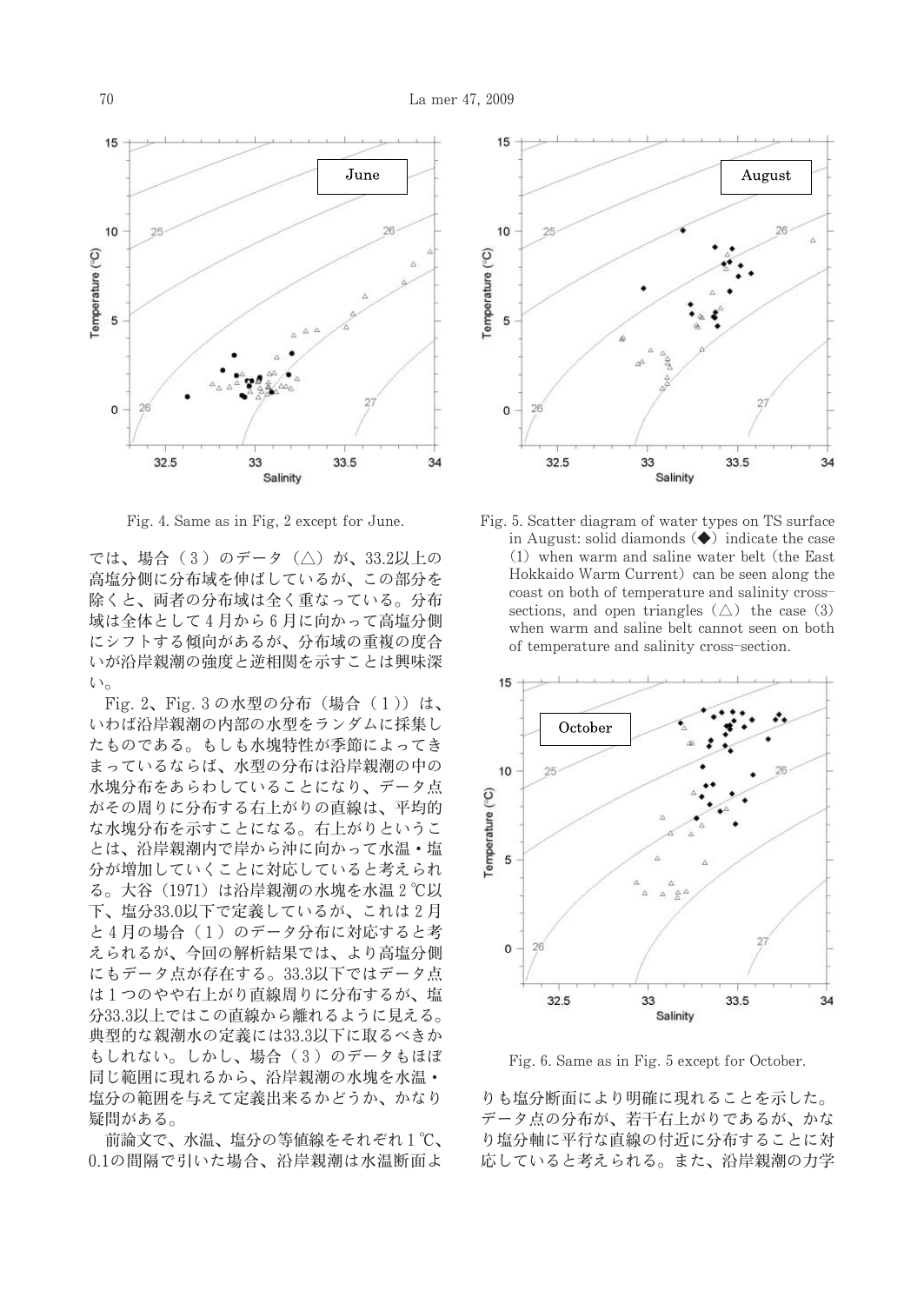

Fig. 4. Same as in Fig. 2 except for June.

では、場合 (3) のデータ (△) が、33.2以上の 高塩分側に分布域を伸ばしているが、この部分を 除くと、両者の分布域は全く重なっている。分布 域は全体として4月から6月に向かって高塩分側 にシフトする傾向があるが、分布域の重複の度合 いが沿岸親潮の強度と逆相関を示すことは興味深  $\iota$ 

Fig. 2、Fig. 3の水型の分布 (場合 (1)) は、 いわば沿岸親潮の内部の水型をランダムに採集し たものである。もしも水塊特性が季節によってき まっているならば、水型の分布は沿岸親潮の中の 水塊分布をあらわしていることになり、データ点 がその周りに分布する右上がりの直線は、平均的 な水塊分布を示すことになる。右上がりというこ とは、沿岸親潮内で岸から沖に向かって水温・塩 分が増加していくことに対応していると考えられ る。大谷 (1971) は沿岸親潮の水塊を水温2℃以 下、塩分33.0以下で定義しているが、これは2月 と4月の場合 (1) のデータ分布に対応すると考 えられるが、今回の解析結果では、より高塩分側 にもデータ点が存在する。33.3以下ではデータ点 は1つのやや右上がり直線周りに分布するが、塩 分33.3以上ではこの直線から離れるように見える。 典型的な親潮水の定義には33.3以下に取るべきか もしれない。しかし、場合 (3) のデータもほぼ 同じ範囲に現れるから、沿岸親潮の水塊を水温· 塩分の範囲を与えて定義出来るかどうか、かなり 疑問がある。

前論文で、水温、塩分の等値線をそれぞれ1℃、 0.1の間隔で引いた場合、沿岸親潮は水温断面よ



Fig. 5. Scatter diagram of water types on TS surface in August: solid diamonds  $\left(\bigstar\right)$  indicate the case (1) when warm and saline water belt (the East Hokkaido Warm Current) can be seen along the coast on both of temperature and salinity crosssections, and open triangles  $(\triangle)$  the case (3) when warm and saline belt cannot seen on both of temperature and salinity cross-section.



Fig. 6. Same as in Fig. 5 except for October.

りも塩分断面により明確に現れることを示した。 データ点の分布が、若干右上がりであるが、かな り塩分軸に平行な直線の付近に分布することに対 応していると考えられる。また、沿岸親潮の力学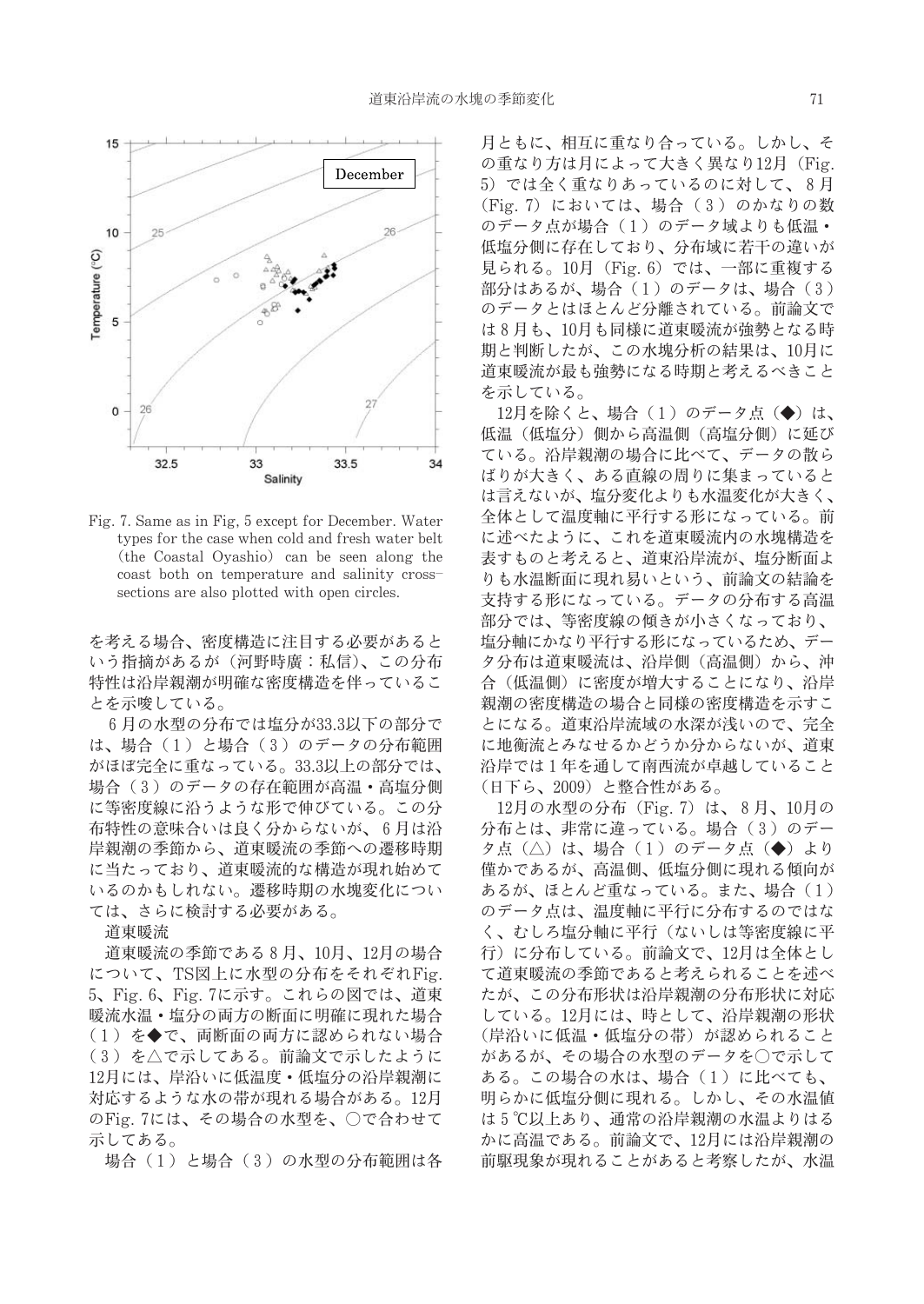

Fig. 7. Same as in Fig. 5 except for December. Water types for the case when cold and fresh water belt (the Coastal Ovashio) can be seen along the coast both on temperature and salinity crosssections are also plotted with open circles.

を考える場合、密度構造に注目する必要があると いう指摘があるが(河野時庸:私信)、この分布 特性は沿岸親潮が明確な密度構造を伴っているこ とを示唆している。

6月の水型の分布では塩分が33.3以下の部分で は、場合(1)と場合(3)のデータの分布範囲 がほぼ完全に重なっている。33.3以上の部分では、 場合(3)のデータの存在範囲が高温·高塩分側 に等密度線に沿うような形で伸びている。この分 布特性の意味合いは良く分からないが、6月は沿 岸親潮の季節から、道東暖流の季節への遷移時期 に当たっており、道東暖流的な構造が現れ始めて いるのかもしれない。遷移時期の水塊変化につい ては、さらに検討する必要がある。

道東暖流

道東暖流の季節である8月、10月、12月の場合 について、TS図上に水型の分布をそれぞれFig. 5、Fig. 6、Fig. 7に示す。これらの図では、道東 暖流水温·塩分の両方の断面に明確に現れた場合 (1) を◆で、両断面の両方に認められない場合 (3) を△で示してある。前論文で示したように 12月には、岸沿いに低温度·低塩分の沿岸親潮に 対応するような水の帯が現れる場合がある。12月 のFig. 7には、その場合の水型を、○で合わせて 示してある。

場合(1)と場合(3)の水型の分布範囲は各

月ともに、相互に重なり合っている。しかし、そ の重なり方は月によって大きく異なり12月 (Fig. 5) では全く重なりあっているのに対して、8月 (Fig. 7) においては、場合 (3) のかなりの数 のデータ点が場合 (1) のデータ域よりも低温· 低塩分側に存在しており、分布域に若干の違いが 見られる。10月 (Fig. 6) では、一部に重複する 部分はあるが、場合 (1) のデータは、場合 (3) のデータとはほとんど分離されている。前論文で は8月も、10月も同様に道東暖流が強勢となる時 期と判断したが、この水塊分析の結果は、10月に 道東暖流が最も強勢になる時期と考えるべきこと を示している。

12月を除くと、場合 (1)のデータ点 (◆) は、 低温(低塩分)側から高温側(高塩分側)に延び ている。沿岸親潮の場合に比べて、データの散ら ばりが大きく、ある直線の周りに集まっていると は言えないが、塩分変化よりも水温変化が大きく、 全体として温度軸に平行する形になっている。前 に述べたように、これを道東暖流内の水塊構造を 表すものと考えると、道東沿岸流が、塩分断面よ りも水温断面に現れ易いという、前論文の結論を 支持する形になっている。データの分布する高温 部分では、等密度線の傾きが小さくなっており、 塩分軸にかなり平行する形になっているため、デー タ分布は道東暖流は、沿岸側(高温側)から、沖 合(低温側)に密度が増大することになり、沿岸 親潮の密度構造の場合と同様の密度構造を示すこ とになる。道東沿岸流域の水深が浅いので、完全 に地衡流とみなせるかどうか分からないが、道東 沿岸では1年を通して南西流が卓越していること (日下ら、2009)と整合性がある。

12月の水型の分布 (Fig. 7) は、8月、10月の 分布とは、非常に違っている。場合(3)のデー タ点(△)は、場合(1)のデータ点(◆)より 僅かであるが、高温側、低塩分側に現れる傾向が あるが、ほとんど重なっている。また、場合 (1) のデータ点は、温度軸に平行に分布するのではな く、むしろ塩分軸に平行(ないしは等密度線に平 行)に分布している。前論文で、12月は全体とし て道東暖流の季節であると考えられることを述べ たが、この分布形状は沿岸親潮の分布形状に対応 している。12月には、時として、沿岸親潮の形状 (岸沿いに低温·低塩分の帯) が認められること があるが、その場合の水型のデータを○で示して ある。この場合の水は、場合(1)に比べても、 明らかに低塩分側に現れる。しかし、その水温値 は5℃以上あり、通常の沿岸親潮の水温よりはる かに高温である。前論文で、12月には沿岸親潮の 前駆現象が現れることがあると考察したが、水温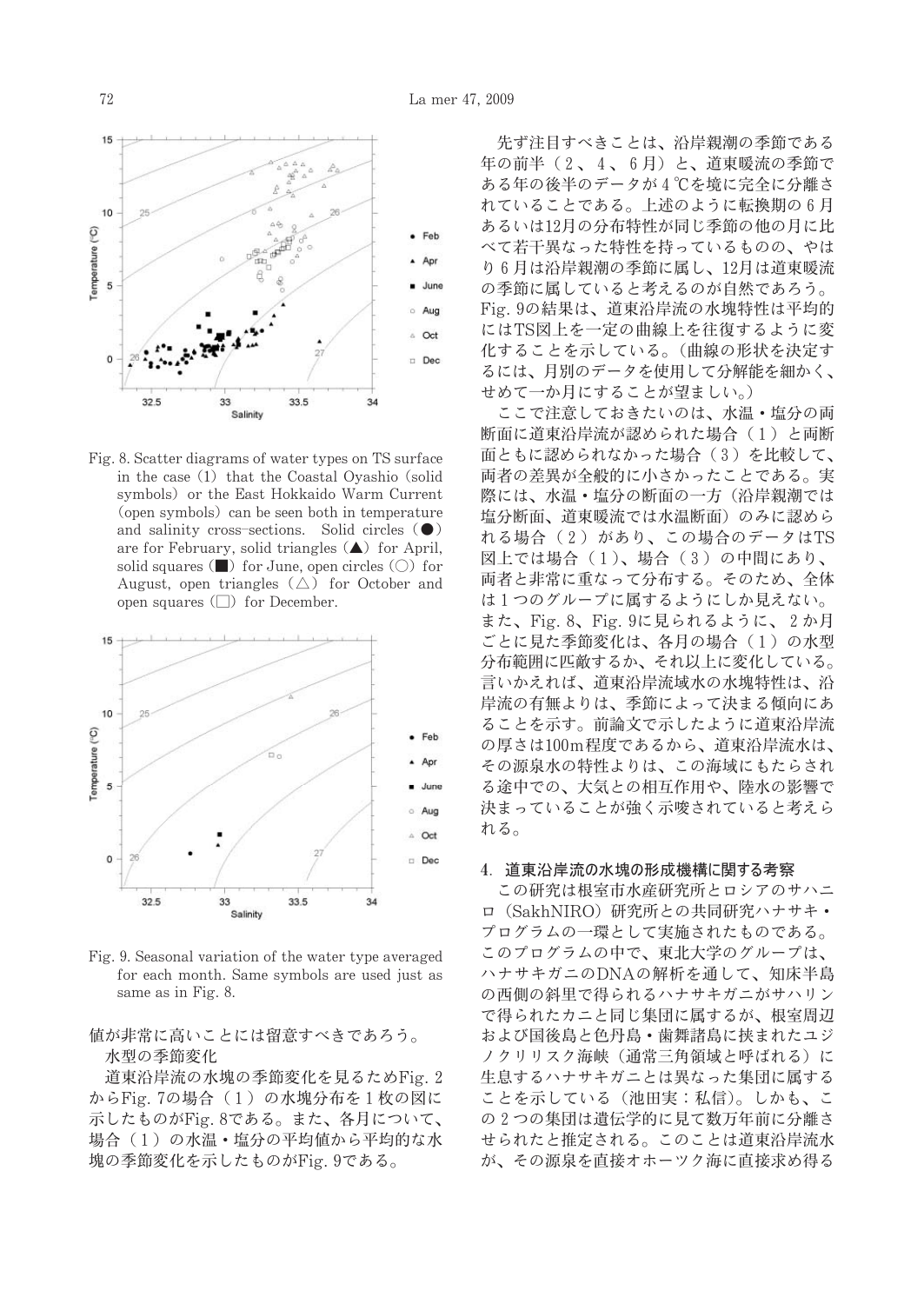

Fig. 8. Scatter diagrams of water types on TS surface in the case (1) that the Coastal Oyashio (solid symbols) or the East Hokkaido Warm Current (open symbols) can be seen both in temperature and salinity cross-sections. Solid circles  $\left( \bullet \right)$ are for February, solid triangles  $(\triangle)$  for April, solid squares  $(\blacksquare)$  for June, open circles  $(\bigcirc)$  for August, open triangles  $(\triangle)$  for October and open squares  $\Box$  for December.



Fig. 9. Seasonal variation of the water type averaged for each month. Same symbols are used just as same as in Fig. 8.

## 値が非常に高いことには留意すべきであろう。 水型の季節変化

道東沿岸流の水塊の季節変化を見るためFig. 2 からFig. 7の場合 (1) の水塊分布を1枚の図に 示したものがFig. 8である。また、各月について、 場合(1)の水温·塩分の平均値から平均的な水 塊の季節変化を示したものがFig. 9である。

先ず注目すべきことは、沿岸親潮の季節である 年の前半 (2、4、6月)と、道東暖流の季節で ある年の後半のデータが4℃を境に完全に分離さ れていることである。上述のように転換期の6月 あるいは12月の分布特性が同じ季節の他の月に比 べて若干異なった特性を持っているものの、やは り6月は沿岸親潮の季節に属し、12月は道東暖流 の季節に属していると考えるのが自然であろう。 Fig. 9の結果は、道東沿岸流の水塊特性は平均的 にはTS図上を一定の曲線上を往復するように変 化することを示している。(曲線の形状を決定す るには、月別のデータを使用して分解能を細かく、 せめて一か月にすることが望ましい。)

ここで注意しておきたいのは、水温・塩分の両 断面に道東沿岸流が認められた場合(1)と両断 面ともに認められなかった場合(3)を比較して、 両者の差異が全般的に小さかったことである。実 際には、水温・塩分の断面の一方(沿岸親潮では 塩分断面、道東暖流では水温断面)のみに認めら れる場合 (2) があり、この場合のデータはTS 図上では場合 (1)、場合 (3) の中間にあり、 両者と非常に重なって分布する。そのため、全体 は1つのグループに属するようにしか見えない。 また、Fig. 8、Fig. 9に見られるように、2か月 ごとに見た季節変化は、各月の場合(1)の水型 分布範囲に匹敵するか、それ以上に変化している。 言いかえれば、道東沿岸流域水の水塊特性は、沿 岸流の有無よりは、季節によって決まる傾向にあ ることを示す。前論文で示したように道東沿岸流 の厚さは100m程度であるから、道東沿岸流水は、 その源泉水の特性よりは、この海域にもたらされ る途中での、大気との相互作用や、陸水の影響で 決まっていることが強く示唆されていると考えら れる。

#### 4. 道東沿岸流の水塊の形成機構に関する考察

この研究は根室市水産研究所とロシアのサハニ ロ (SakhNIRO) 研究所との共同研究ハナサキ· プログラムの一環として実施されたものである。 このプログラムの中で、東北大学のグループは、 ハナサキガニのDNAの解析を通して、知床半島 の西側の斜里で得られるハナサキガニがサハリン で得られたカニと同じ集団に属するが、根室周辺 および国後島と色丹島・歯舞諸島に挟まれたユジ ノクリリスク海峡(通常三角領域と呼ばれる)に 生息するハナサキガニとは異なった集団に属する ことを示している (池田実:私信)。しかも、こ の2つの集団は遺伝学的に見て数万年前に分離さ せられたと推定される。このことは道東沿岸流水 が、その源泉を直接オホーツク海に直接求め得る